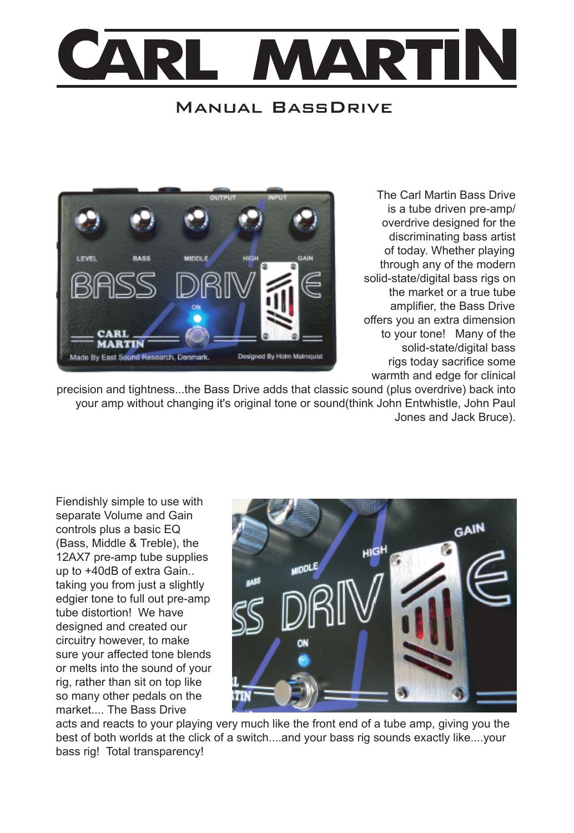

## Manual BassDrive



The Carl Martin Bass Drive is a tube driven pre-amp/ overdrive designed for the discriminating bass artist of today. Whether playing through any of the modern solid-state/digital bass rigs on the market or a true tube amplifier, the Bass Drive offers you an extra dimension to your tone! Many of the solid-state/digital bass rigs today sacrifice some warmth and edge for clinical

precision and tightness...the Bass Drive adds that classic sound (plus overdrive) back into your amp without changing it's original tone or sound(think John Entwhistle, John Paul Jones and Jack Bruce).

Fiendishly simple to use with separate Volume and Gain controls plus a basic EQ (Bass, Middle & Treble), the 12AX7 pre-amp tube supplies up to +40dB of extra Gain.. taking you from just a slightly edgier tone to full out pre-amp tube distortion! We have designed and created our circuitry however, to make sure your affected tone blends or melts into the sound of your rig, rather than sit on top like so many other pedals on the market.... The Bass Drive



acts and reacts to your playing very much like the front end of a tube amp, giving you the best of both worlds at the click of a switch....and your bass rig sounds exactly like....your bass rig! Total transparency!